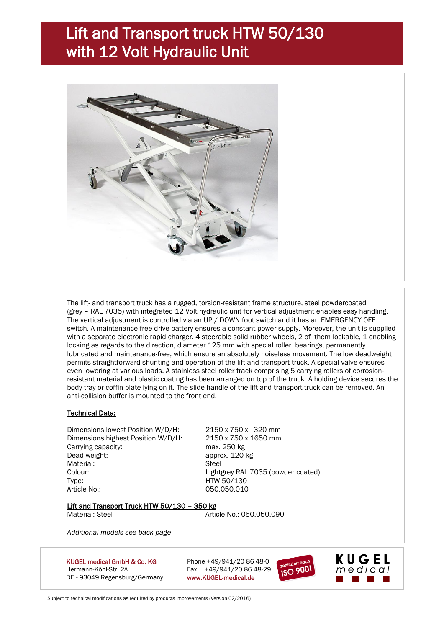# Lift and Transport truck HTW 50/130 with 12 Volt Hydraulic Unit



The lift- and transport truck has a rugged, torsion-resistant frame structure, steel powdercoated (grey – RAL 7035) with integrated 12 Volt hydraulic unit for vertical adjustment enables easy handling. The vertical adjustment is controlled via an UP / DOWN foot switch and it has an EMERGENCY OFF switch. A maintenance-free drive battery ensures a constant power supply. Moreover, the unit is supplied with a separate electronic rapid charger. 4 steerable solid rubber wheels, 2 of them lockable, 1 enabling locking as regards to the direction, diameter 125 mm with special roller bearings, permanently lubricated and maintenance-free, which ensure an absolutely noiseless movement. The low deadweight permits straightforward shunting and operation of the lift and transport truck. A special valve ensures even lowering at various loads. A stainless steel roller track comprising 5 carrying rollers of corrosionresistant material and plastic coating has been arranged on top of the truck. A holding device secures the body tray or coffin plate lying on it. The slide handle of the lift and transport truck can be removed. An anti-collision buffer is mounted to the front end.

### Technical Data:

Dimensions lowest Position W/D/H: 2150 x 750 x 320 mm Dimensions highest Position W/D/H: 2150 x 750 x 1650 mm Carrying capacity: max. 250 kg Dead weight: approx. 120 kg Material: Steel Colour: Lightgrey RAL 7035 (powder coated) Type: HTW 50/130 Article No.: 050.050.010

#### Lift and Transport Truck HTW 50/130 - 350 kg

Material: Steel **Article No.: 050.050.090** 

*Additional models see back page*

KUGEL medical GmbH & Co. KG Phone  $+49/941/20.8648-0$ Hermann-Köhl-Str. 2A Fax +49/941/20 86 48-29 DE - 93049 Regensburg/Germany www.KUGEL-medical.de